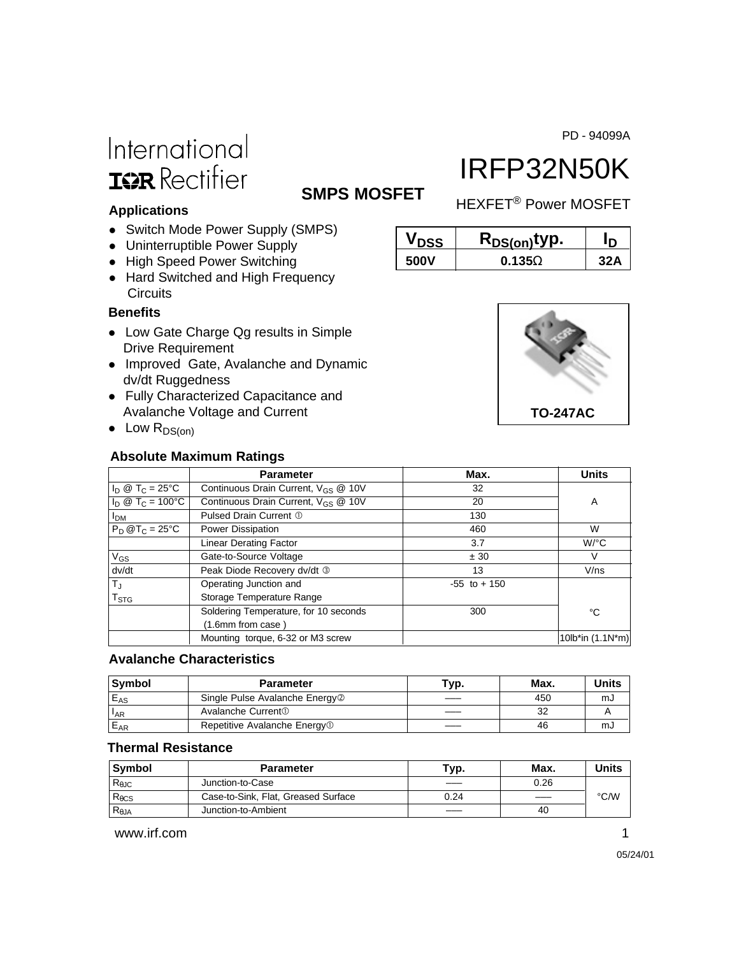PD - 94099A

# International **ISR** Rectifier

# IRFP32N50K

**SMPS MOSFET** HEXFET<sup>®</sup> Power MOSFET

**V**<sub>DSS</sub> **R**<sub>DS(on)</sub>typ. I<sub>D</sub> **500V 0.135**Ω **32A**

### **Applications**

- Switch Mode Power Supply (SMPS)
- Uninterruptible Power Supply
- High Speed Power Switching
- Hard Switched and High Frequency **Circuits**

### **Benefits**

- Low Gate Charge Qg results in Simple Drive Requirement
- Improved Gate, Avalanche and Dynamic dv/dt Ruggedness
- Fully Characterized Capacitance and Avalanche Voltage and Current
- $\bullet$  Low R<sub>DS(on)</sub>

### **Absolute Maximum Ratings**



|                                  | <b>Parameter</b>                                | Max.            | <b>Units</b>       |
|----------------------------------|-------------------------------------------------|-----------------|--------------------|
| $I_D @ T_C = 25^{\circ}C$        | Continuous Drain Current, V <sub>GS</sub> @ 10V | 32              |                    |
| $I_D \otimes T_C = 100^{\circ}C$ | Continuous Drain Current, V <sub>GS</sub> @ 10V | 20              | A                  |
| I <sub>DM</sub>                  | Pulsed Drain Current 1                          | 130             |                    |
| $P_D @T_C = 25^{\circ}C$         | Power Dissipation                               | 460             | W                  |
|                                  | <b>Linear Derating Factor</b>                   | 3.7             | $W$ /°C            |
| $V_{GS}$                         | Gate-to-Source Voltage                          | ± 30            | V                  |
| dv/dt                            | Peak Diode Recovery dv/dt 3                     | 13              | V/ns               |
| $T_{\text{J}}$                   | Operating Junction and                          | $-55$ to $+150$ |                    |
| $\mathsf{T}_{\texttt{STG}}$      | Storage Temperature Range                       |                 |                    |
|                                  | Soldering Temperature, for 10 seconds           | 300             | °C                 |
|                                  | (1.6mm from case)                               |                 |                    |
|                                  | Mounting torque, 6-32 or M3 screw               |                 | 10lb*in $(1.1N*m)$ |

### **Avalanche Characteristics**

| <b>Symbol</b> | <b>Parameter</b>                           | Typ. | Max. | Units |
|---------------|--------------------------------------------|------|------|-------|
| $E_{AS}$      | Single Pulse Avalanche Energy <sup>2</sup> |      | 450  | mJ    |
| IAR           | Avalanche Current <sup>1</sup>             |      | 32   |       |
| $E_{AR}$      | Repetitive Avalanche Energy <sup>1</sup>   |      | 46   | mJ    |

### **Thermal Resistance**

| Svmbol          | <b>Parameter</b>                    | Typ. | Max. | Units |
|-----------------|-------------------------------------|------|------|-------|
| $R_{\theta$ JC  | Junction-to-Case                    |      | 0.26 |       |
| $R_{\theta}$ CS | Case-to-Sink, Flat, Greased Surface | 0.24 |      | °C/W  |
| $R_{\theta JA}$ | Junction-to-Ambient                 |      | 40   |       |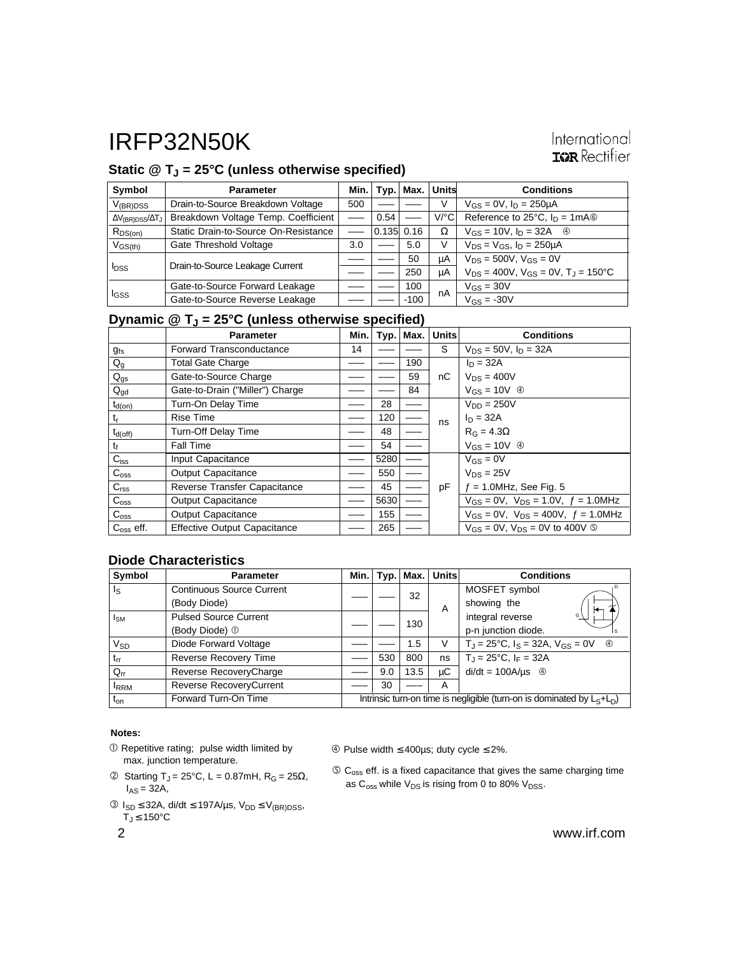# Static @ T<sub>J</sub> = 25°C (unless otherwise specified)

| Symbol                                 | <b>Parameter</b>                     | Min. I |            | $Typ.$ Max. | Units                | <b>Conditions</b>                                        |
|----------------------------------------|--------------------------------------|--------|------------|-------------|----------------------|----------------------------------------------------------|
| $V_{(BR)DSS}$                          | Drain-to-Source Breakdown Voltage    | 500    |            |             | ν                    | $V_{GS} = 0V$ , $I_D = 250 \mu A$                        |
| $\Delta V_{\text{(BR)DSS}}/\Delta T_J$ | Breakdown Voltage Temp. Coefficient  |        | 0.54       |             | $V$ <sup>o</sup> $C$ | Reference to 25 $^{\circ}$ C, $I_D = 1 \text{mA}$        |
| $R_{DS(on)}$                           | Static Drain-to-Source On-Resistance |        | 0.135 0.16 |             | Ω                    | $V_{GS} = 10V$ , $I_D = 32A$ <sup>4</sup>                |
| $V_{GS(th)}$                           | Gate Threshold Voltage               | 3.0    |            | 5.0         | V                    | $V_{DS} = V_{GS}$ , $I_D = 250 \mu A$                    |
|                                        |                                      |        |            | 50          | μA                   | $V_{DS} = 500V$ , $V_{GS} = 0V$                          |
| $I_{DSS}$                              | Drain-to-Source Leakage Current      |        |            | 250         | μA                   | $V_{DS} = 400V$ , $V_{GS} = 0V$ , $T_{J} = 150^{\circ}C$ |
| <b>I</b> GSS                           | Gate-to-Source Forward Leakage       |        |            | 100         | nA                   | $V_{GS} = 30V$                                           |
|                                        | Gate-to-Source Reverse Leakage       |        |            | $-100$      |                      | $V_{GS} = -30V$                                          |

### **Dynamic @ TJ = 25°C (unless otherwise specified)**

|                    | <b>Parameter</b>                    | Min. |      | Typ.   Max. | <b>Units</b> | <b>Conditions</b>                                    |
|--------------------|-------------------------------------|------|------|-------------|--------------|------------------------------------------------------|
| $g_{fs}$           | Forward Transconductance            | 14   |      |             | S            | $V_{DS} = 50V$ , $I_D = 32A$                         |
| $Q_g$              | <b>Total Gate Charge</b>            |      |      | 190         |              | $I_D = 32A$                                          |
| $Q_{gs}$           | Gate-to-Source Charge               |      |      | 59          | nC           | $V_{DS} = 400V$                                      |
| $Q_{gd}$           | Gate-to-Drain ("Miller") Charge     |      |      | 84          |              | $V_{GS} = 10V \oplus$                                |
| $t_{d(on)}$        | Turn-On Delay Time                  |      | 28   |             |              | $V_{DD} = 250V$                                      |
| $t_{r}$            | <b>Rise Time</b>                    |      | 120  |             | ns           | $I_D = 32A$                                          |
| $t_{d(off)}$       | Turn-Off Delay Time                 |      | 48   |             |              | $R_G = 4.3\Omega$                                    |
| t                  | <b>Fall Time</b>                    |      | 54   |             |              | $V_{GS} = 10V \circledcirc$                          |
| $C_{iss}$          | Input Capacitance                   |      | 5280 |             |              | $V_{GS} = 0V$                                        |
| $C_{\text{oss}}$   | <b>Output Capacitance</b>           |      | 550  |             |              | $V_{DS} = 25V$                                       |
| C <sub>rss</sub>   | Reverse Transfer Capacitance        |      | 45   |             | pF           | $f = 1.0$ MHz, See Fig. 5                            |
| $C_{\rm oss}$      | Output Capacitance                  |      | 5630 |             |              | $V_{GS} = 0V$ , $V_{DS} = 1.0V$ , $f = 1.0MHz$       |
| $C_{\rm oss}$      | <b>Output Capacitance</b>           |      | 155  |             |              | $V_{GS} = 0V$ , $V_{DS} = 400V$ , $f = 1.0 MHz$      |
| $C_{\rm oss}$ eff. | <b>Effective Output Capacitance</b> |      | 265  |             |              | $V_{GS} = 0V$ , $V_{DS} = 0V$ to 400V $\circledcirc$ |

### **Diode Characteristics**

| Symbol                  | <b>Parameter</b>                 | Min.                                                                      |     | $Typ.$ Max. | Units | <b>Conditions</b>                                                |
|-------------------------|----------------------------------|---------------------------------------------------------------------------|-----|-------------|-------|------------------------------------------------------------------|
| $\mathsf{I}_\mathsf{S}$ | <b>Continuous Source Current</b> |                                                                           |     | 32          |       | . D<br>MOSFET symbol                                             |
|                         | (Body Diode)                     |                                                                           |     |             | A     | showing the<br>ю                                                 |
| $I_{SM}$                | <b>Pulsed Source Current</b>     |                                                                           |     | 130         |       | integral reverse<br>G                                            |
|                         | (Body Diode) 1                   |                                                                           |     |             |       | p-n junction diode.<br>Is                                        |
| $V_{SD}$                | Diode Forward Voltage            |                                                                           |     | 1.5         | V     | $T_J = 25^{\circ}C$ , $I_S = 32A$ , $V_{GS} = 0V$<br>$\circledA$ |
| $t_{rr}$                | Reverse Recovery Time            |                                                                           | 530 | 800         | ns    | $T_{\rm J} = 25^{\circ}C$ , $I_F = 32A$                          |
| $Q_{rr}$                | Reverse RecoveryCharge           |                                                                           | 9.0 | 13.5        | μC    | $di/dt = 100A/\mu s$ <sup>4</sup>                                |
| <b>IRRM</b>             | Reverse RecoveryCurrent          |                                                                           | 30  |             | Α     |                                                                  |
| $t_{on}$                | Forward Turn-On Time             | Intrinsic turn-on time is negligible (turn-on is dominated by $L_S+L_D$ ) |     |             |       |                                                                  |

### **Notes:**

- $O$  Repetitive rating; pulse width limited by max. junction temperature.
- $\textcircled{2}$  Starting T<sub>J</sub> = 25°C, L = 0.87mH, R<sub>G</sub> = 25 $\Omega$ ,  $I_{AS} = 32A$ ,
- $\circ$  I<sub>SD</sub> ≤ 32A, di/dt ≤ 197A/µs, V<sub>DD</sub> ≤ V<sub>(BR)DSS</sub>,  $\overline{T}_J \leq 150^{\circ}$ C

Pulse width ≤ 400µs; duty cycle ≤ 2%.

 $\circledS$  C<sub>oss</sub> eff. is a fixed capacitance that gives the same charging time as  $C_{\text{oss}}$  while  $V_{DS}$  is rising from 0 to 80%  $V_{DSS}$ .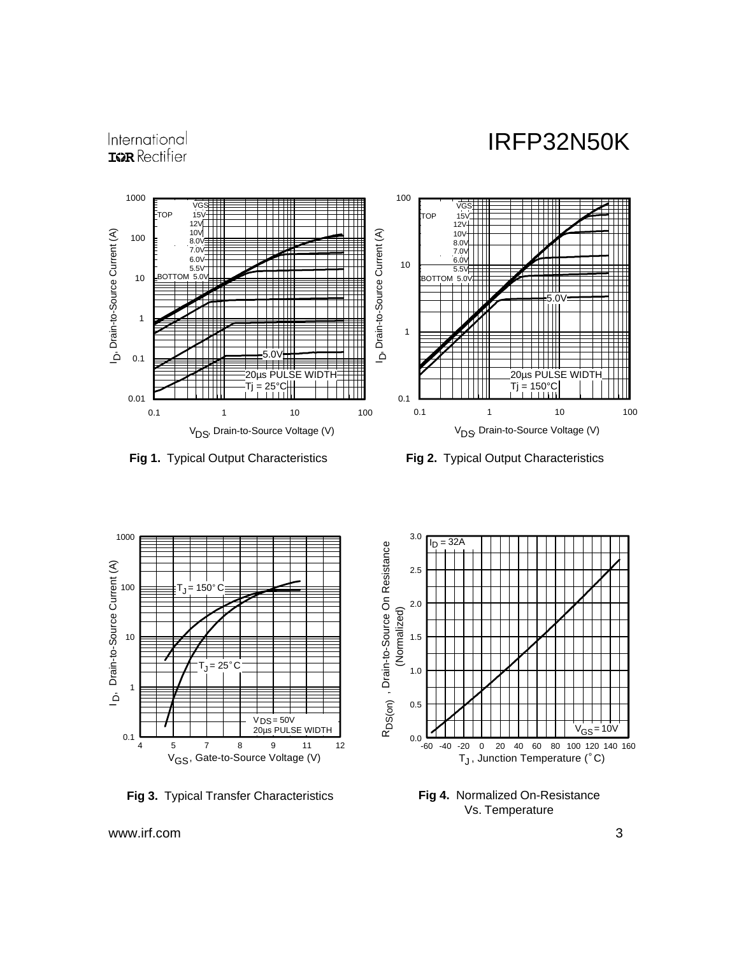# International **IGR** Rectifier



**Fig 1.** Typical Output Characteristics **Fig 2.** Typical Output Characteristics



**Fig 3.** Typical Transfer Characteristics



**Fig 4.** Normalized On-Resistance Vs. Temperature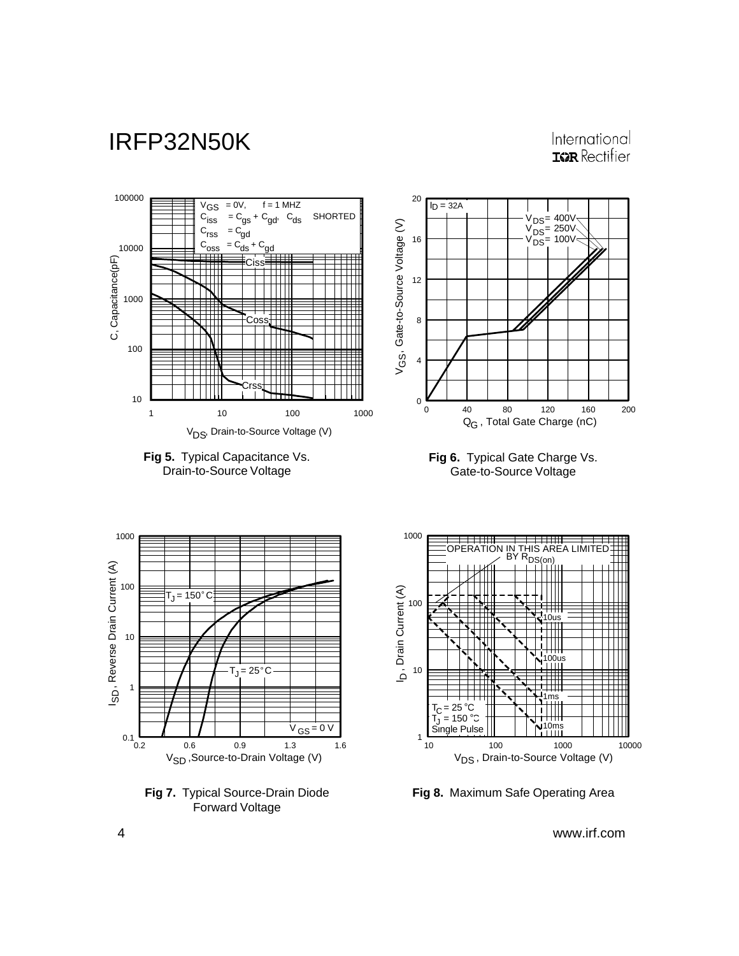# International **IGR** Rectifier



1







10 100 1000 10000

V<sub>DS</sub> , Drain-to-Source Voltage (V)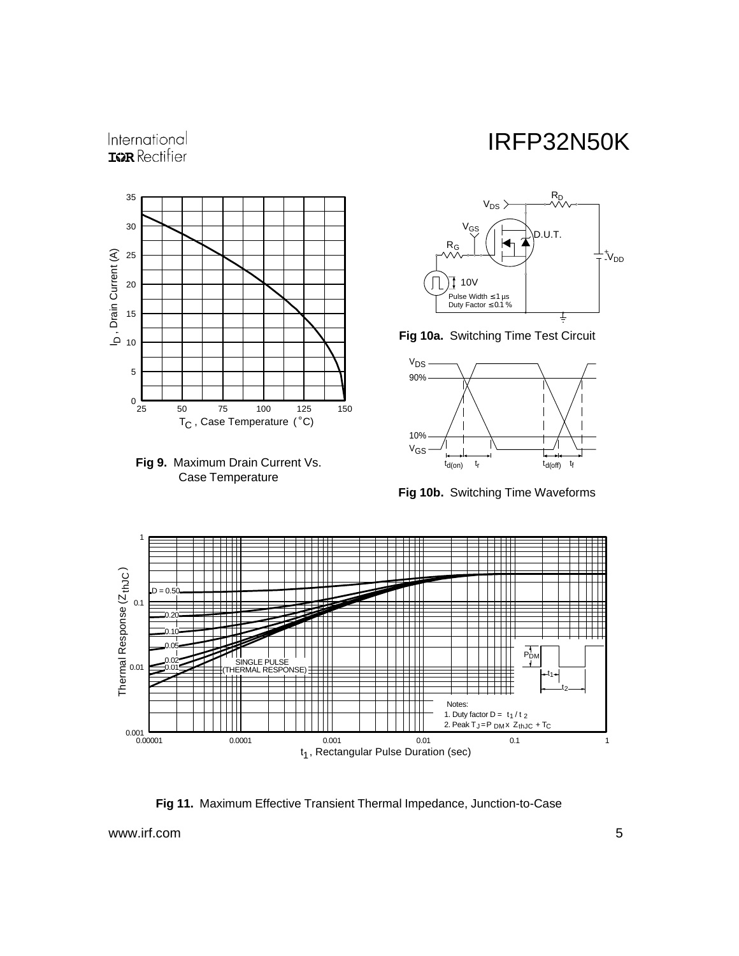

International **ISPR** Rectifier





**Fig 10a.** Switching Time Test Circuit



**Fig 10b.** Switching Time Waveforms



**Fig 11.** Maximum Effective Transient Thermal Impedance, Junction-to-Case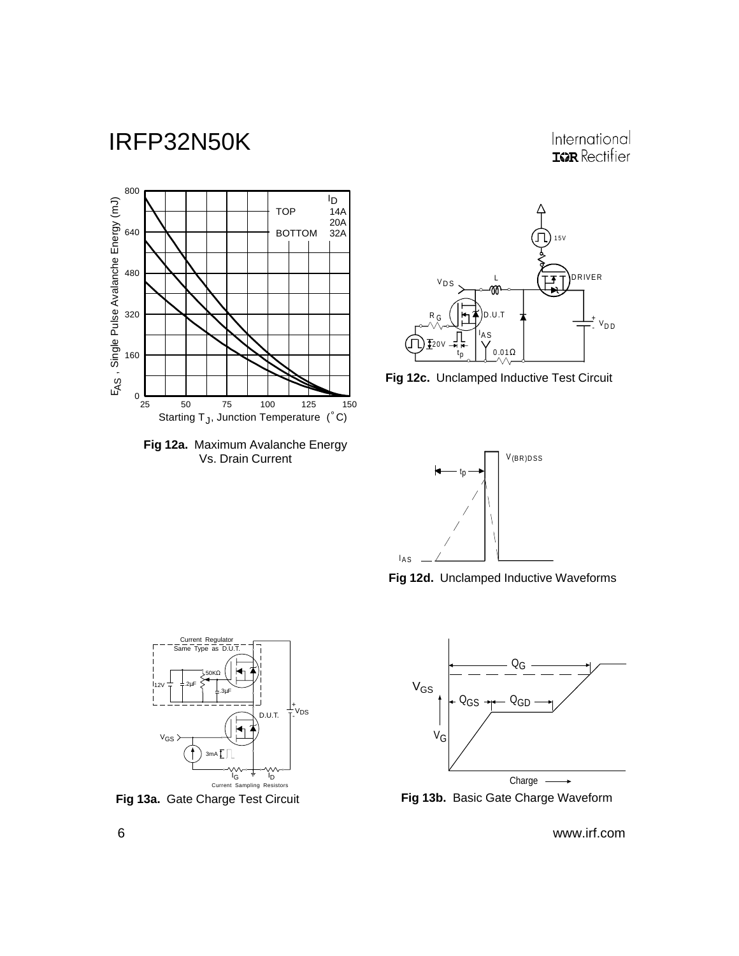International **ISPR** Rectifier















**Fig 13a.** Gate Charge Test Circuit **Fig 13b.** Basic Gate Charge Waveform

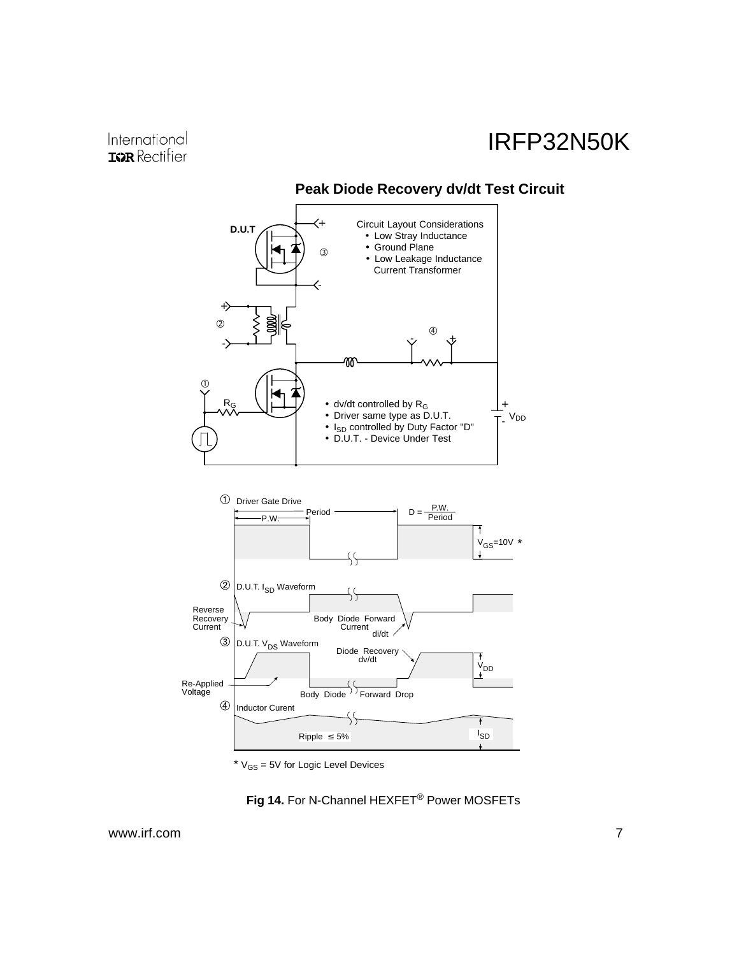

**Peak Diode Recovery dv/dt Test Circuit**

 $*$   $V_{GS}$  = 5V for Logic Level Devices